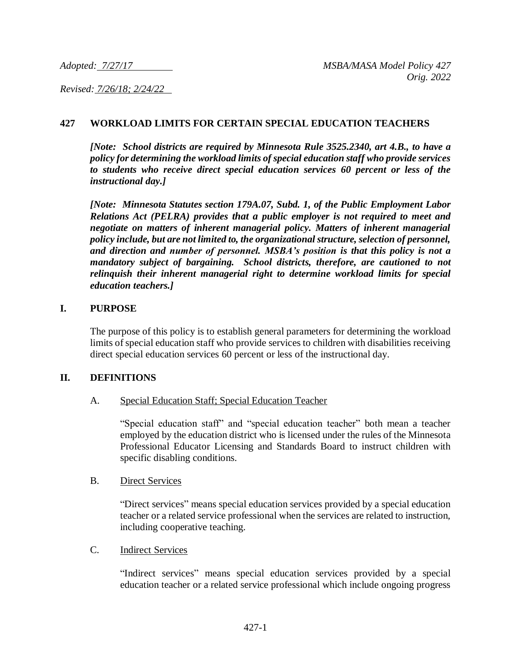*Revised: 7/26/18; 2/24/22* 

# **427 WORKLOAD LIMITS FOR CERTAIN SPECIAL EDUCATION TEACHERS**

*[Note: School districts are required by Minnesota Rule 3525.2340, art 4.B., to have a policy for determining the workload limits of special education staff who provide services to students who receive direct special education services 60 percent or less of the instructional day.]* 

*[Note: Minnesota Statutes section 179A.07, Subd. 1, of the Public Employment Labor Relations Act (PELRA) provides that a public employer is not required to meet and negotiate on matters of inherent managerial policy. Matters of inherent managerial policy include, but are not limited to, the organizational structure, selection of personnel, and direction and number of personnel. MSBA's position is that this policy is not a mandatory subject of bargaining. School districts, therefore, are cautioned to not relinquish their inherent managerial right to determine workload limits for special education teachers.]*

#### **I. PURPOSE**

The purpose of this policy is to establish general parameters for determining the workload limits of special education staff who provide services to children with disabilities receiving direct special education services 60 percent or less of the instructional day.

#### **II. DEFINITIONS**

#### A. Special Education Staff; Special Education Teacher

"Special education staff" and "special education teacher" both mean a teacher employed by the education district who is licensed under the rules of the Minnesota Professional Educator Licensing and Standards Board to instruct children with specific disabling conditions.

#### B. Direct Services

"Direct services" means special education services provided by a special education teacher or a related service professional when the services are related to instruction, including cooperative teaching.

#### C. Indirect Services

"Indirect services" means special education services provided by a special education teacher or a related service professional which include ongoing progress